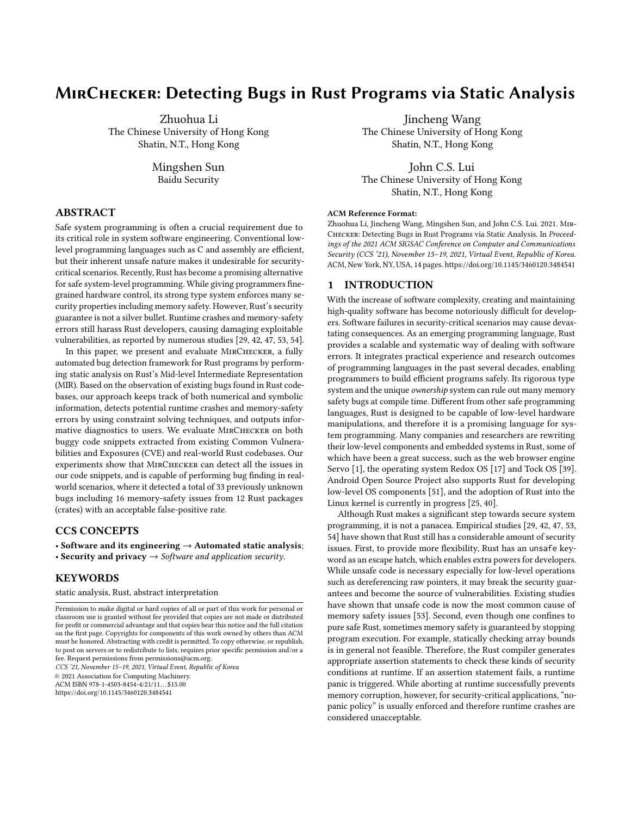# MirChecker: Detecting Bugs in Rust Programs via Static Analysis

Zhuohua Li The Chinese University of Hong Kong Shatin, N.T., Hong Kong

> Mingshen Sun Baidu Security

## ABSTRACT

Safe system programming is often a crucial requirement due to its critical role in system software engineering. Conventional lowlevel programming languages such as C and assembly are efficient, but their inherent unsafe nature makes it undesirable for securitycritical scenarios. Recently, Rust has become a promising alternative for safe system-level programming. While giving programmers finegrained hardware control, its strong type system enforces many security properties including memory safety. However, Rust's security guarantee is not a silver bullet. Runtime crashes and memory-safety errors still harass Rust developers, causing damaging exploitable vulnerabilities, as reported by numerous studies [\[29,](#page-13-0) [42,](#page-13-1) [47,](#page-13-2) [53,](#page-13-3) [54\]](#page-13-4).

In this paper, we present and evaluate MirChecker, a fully automated bug detection framework for Rust programs by performing static analysis on Rust's Mid-level Intermediate Representation (MIR). Based on the observation of existing bugs found in Rust codebases, our approach keeps track of both numerical and symbolic information, detects potential runtime crashes and memory-safety errors by using constraint solving techniques, and outputs informative diagnostics to users. We evaluate MirChecker on both buggy code snippets extracted from existing Common Vulnerabilities and Exposures (CVE) and real-world Rust codebases. Our experiments show that MirChecker can detect all the issues in our code snippets, and is capable of performing bug finding in realworld scenarios, where it detected a total of 33 previously unknown bugs including 16 memory-safety issues from 12 Rust packages (crates) with an acceptable false-positive rate.

#### CCS CONCEPTS

• Software and its engineering  $\rightarrow$  Automated static analysis; • Security and privacy  $\rightarrow$  Software and application security.

## KEYWORDS

static analysis, Rust, abstract interpretation

ACM ISBN 978-1-4503-8454-4/21/11...\$15.00 <https://doi.org/10.1145/3460120.3484541>

Jincheng Wang The Chinese University of Hong Kong Shatin, N.T., Hong Kong

John C.S. Lui The Chinese University of Hong Kong Shatin, N.T., Hong Kong

#### ACM Reference Format:

Zhuohua Li, Jincheng Wang, Mingshen Sun, and John C.S. Lui. 2021. Mir-Checker: Detecting Bugs in Rust Programs via Static Analysis. In Proceedings of the 2021 ACM SIGSAC Conference on Computer and Communications Security (CCS '21), November 15–19, 2021, Virtual Event, Republic of Korea. ACM, New York, NY, USA, [14](#page-13-5) pages.<https://doi.org/10.1145/3460120.3484541>

### 1 INTRODUCTION

With the increase of software complexity, creating and maintaining high-quality software has become notoriously difficult for developers. Software failures in security-critical scenarios may cause devastating consequences. As an emerging programming language, Rust provides a scalable and systematic way of dealing with software errors. It integrates practical experience and research outcomes of programming languages in the past several decades, enabling programmers to build efficient programs safely. Its rigorous type system and the unique ownership system can rule out many memory safety bugs at compile time. Different from other safe programming languages, Rust is designed to be capable of low-level hardware manipulations, and therefore it is a promising language for system programming. Many companies and researchers are rewriting their low-level components and embedded systems in Rust, some of which have been a great success, such as the web browser engine Servo [\[1\]](#page-12-0), the operating system Redox OS [\[17\]](#page-13-6) and Tock OS [\[39\]](#page-13-7). Android Open Source Project also supports Rust for developing low-level OS components [\[51\]](#page-13-8), and the adoption of Rust into the Linux kernel is currently in progress [\[25,](#page-13-9) [40\]](#page-13-10).

Although Rust makes a significant step towards secure system programming, it is not a panacea. Empirical studies [\[29,](#page-13-0) [42,](#page-13-1) [47,](#page-13-2) [53,](#page-13-3) [54\]](#page-13-4) have shown that Rust still has a considerable amount of security issues. First, to provide more flexibility, Rust has an unsafe keyword as an escape hatch, which enables extra powers for developers. While unsafe code is necessary especially for low-level operations such as dereferencing raw pointers, it may break the security guarantees and become the source of vulnerabilities. Existing studies have shown that unsafe code is now the most common cause of memory safety issues [\[53\]](#page-13-3). Second, even though one confines to pure safe Rust, sometimes memory safety is guaranteed by stopping program execution. For example, statically checking array bounds is in general not feasible. Therefore, the Rust compiler generates appropriate assertion statements to check these kinds of security conditions at runtime. If an assertion statement fails, a runtime panic is triggered. While aborting at runtime successfully prevents memory corruption, however, for security-critical applications, "nopanic policy" is usually enforced and therefore runtime crashes are considered unacceptable.

Permission to make digital or hard copies of all or part of this work for personal or classroom use is granted without fee provided that copies are not made or distributed for profit or commercial advantage and that copies bear this notice and the full citation on the first page. Copyrights for components of this work owned by others than ACM must be honored. Abstracting with credit is permitted. To copy otherwise, or republish, to post on servers or to redistribute to lists, requires prior specific permission and/or a fee. Request permissions from permissions@acm.org. CCS '21, November 15–19, 2021, Virtual Event, Republic of Korea © 2021 Association for Computing Machinery.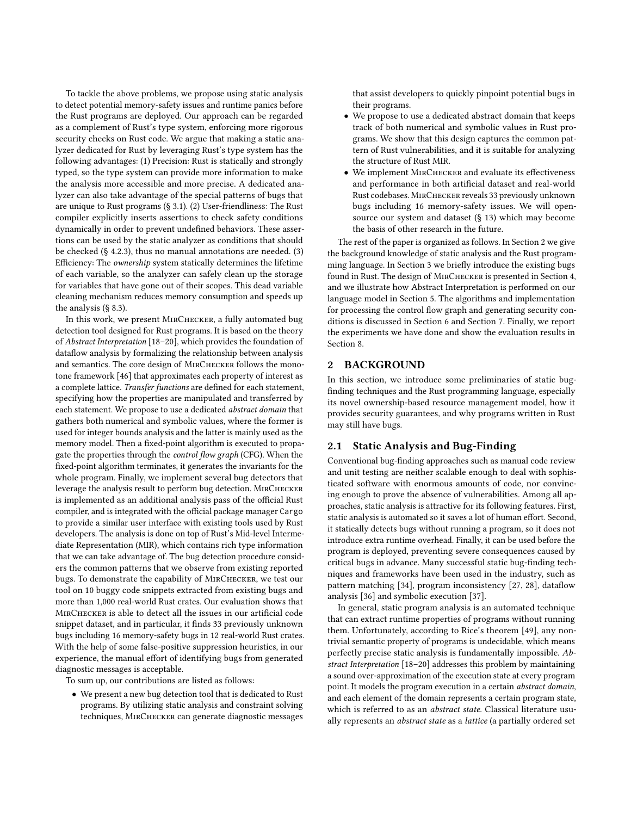To tackle the above problems, we propose using static analysis to detect potential memory-safety issues and runtime panics before the Rust programs are deployed. Our approach can be regarded as a complement of Rust's type system, enforcing more rigorous security checks on Rust code. We argue that making a static analyzer dedicated for Rust by leveraging Rust's type system has the following advantages: (1) Precision: Rust is statically and strongly typed, so the type system can provide more information to make the analysis more accessible and more precise. A dedicated analyzer can also take advantage of the special patterns of bugs that are unique to Rust programs (§ [3.1\)](#page-2-0). (2) User-friendliness: The Rust compiler explicitly inserts assertions to check safety conditions dynamically in order to prevent undefined behaviors. These assertions can be used by the static analyzer as conditions that should be checked (§ [4.2.3\)](#page-4-0), thus no manual annotations are needed. (3) Efficiency: The ownership system statically determines the lifetime of each variable, so the analyzer can safely clean up the storage for variables that have gone out of their scopes. This dead variable cleaning mechanism reduces memory consumption and speeds up the analysis (§ [8.3\)](#page-10-0).

In this work, we present MirChecker, a fully automated bug detection tool designed for Rust programs. It is based on the theory of Abstract Interpretation [\[18](#page-13-11)[–20\]](#page-13-12), which provides the foundation of dataflow analysis by formalizing the relationship between analysis and semantics. The core design of MirChecker follows the monotone framework [\[46\]](#page-13-13) that approximates each property of interest as a complete lattice. Transfer functions are defined for each statement, specifying how the properties are manipulated and transferred by each statement. We propose to use a dedicated abstract domain that gathers both numerical and symbolic values, where the former is used for integer bounds analysis and the latter is mainly used as the memory model. Then a fixed-point algorithm is executed to propagate the properties through the control flow graph (CFG). When the fixed-point algorithm terminates, it generates the invariants for the whole program. Finally, we implement several bug detectors that leverage the analysis result to perform bug detection. MIRCHECKER is implemented as an additional analysis pass of the official Rust compiler, and is integrated with the official package manager Cargo to provide a similar user interface with existing tools used by Rust developers. The analysis is done on top of Rust's Mid-level Intermediate Representation (MIR), which contains rich type information that we can take advantage of. The bug detection procedure considers the common patterns that we observe from existing reported bugs. To demonstrate the capability of MIRCHECKER, we test our tool on 10 buggy code snippets extracted from existing bugs and more than 1,000 real-world Rust crates. Our evaluation shows that MirChecker is able to detect all the issues in our artificial code snippet dataset, and in particular, it finds 33 previously unknown bugs including 16 memory-safety bugs in 12 real-world Rust crates. With the help of some false-positive suppression heuristics, in our experience, the manual effort of identifying bugs from generated diagnostic messages is acceptable.

To sum up, our contributions are listed as follows:

• We present a new bug detection tool that is dedicated to Rust programs. By utilizing static analysis and constraint solving techniques, MirChecker can generate diagnostic messages that assist developers to quickly pinpoint potential bugs in their programs.

- We propose to use a dedicated abstract domain that keeps track of both numerical and symbolic values in Rust programs. We show that this design captures the common pattern of Rust vulnerabilities, and it is suitable for analyzing the structure of Rust MIR.
- We implement MirChecker and evaluate its effectiveness and performance in both artificial dataset and real-world Rust codebases. MirChecker reveals 33 previously unknown bugs including 16 memory-safety issues. We will opensource our system and dataset (§ [13\)](#page-12-1) which may become the basis of other research in the future.

The rest of the paper is organized as follows. In Section [2](#page-1-0) we give the background knowledge of static analysis and the Rust programming language. In Section [3](#page-2-1) we briefly introduce the existing bugs found in Rust. The design of MirChecker is presented in Section [4,](#page-3-0) and we illustrate how Abstract Interpretation is performed on our language model in Section [5.](#page-4-1) The algorithms and implementation for processing the control flow graph and generating security conditions is discussed in Section [6](#page-6-0) and Section [7.](#page-9-0) Finally, we report the experiments we have done and show the evaluation results in Section [8.](#page-9-1)

## <span id="page-1-0"></span>2 BACKGROUND

In this section, we introduce some preliminaries of static bugfinding techniques and the Rust programming language, especially its novel ownership-based resource management model, how it provides security guarantees, and why programs written in Rust may still have bugs.

## 2.1 Static Analysis and Bug-Finding

Conventional bug-finding approaches such as manual code review and unit testing are neither scalable enough to deal with sophisticated software with enormous amounts of code, nor convincing enough to prove the absence of vulnerabilities. Among all approaches, static analysis is attractive for its following features. First, static analysis is automated so it saves a lot of human effort. Second, it statically detects bugs without running a program, so it does not introduce extra runtime overhead. Finally, it can be used before the program is deployed, preventing severe consequences caused by critical bugs in advance. Many successful static bug-finding techniques and frameworks have been used in the industry, such as pattern matching [\[34\]](#page-13-14), program inconsistency [\[27,](#page-13-15) [28\]](#page-13-16), dataflow analysis [\[36\]](#page-13-17) and symbolic execution [\[37\]](#page-13-18).

In general, static program analysis is an automated technique that can extract runtime properties of programs without running them. Unfortunately, according to Rice's theorem [\[49\]](#page-13-19), any nontrivial semantic property of programs is undecidable, which means perfectly precise static analysis is fundamentally impossible. Abstract Interpretation [\[18–](#page-13-11)[20\]](#page-13-12) addresses this problem by maintaining a sound over-approximation of the execution state at every program point. It models the program execution in a certain abstract domain, and each element of the domain represents a certain program state, which is referred to as an abstract state. Classical literature usually represents an abstract state as a lattice (a partially ordered set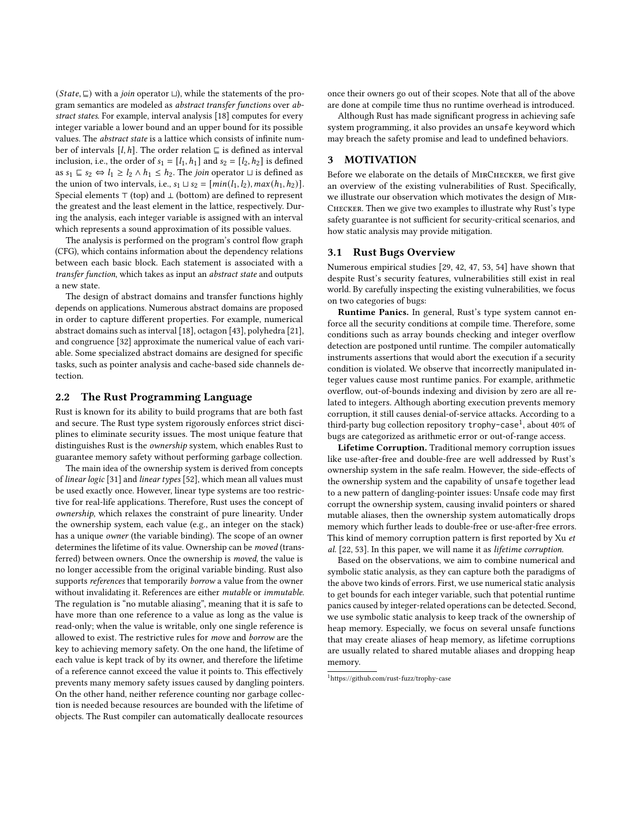$(State, ⊑)$  with a *join* operator  $□$ ), while the statements of the program semantics are modeled as abstract transfer functions over abstract states. For example, interval analysis [\[18\]](#page-13-11) computes for every integer variable a lower bound and an upper bound for its possible values. The abstract state is a lattice which consists of infinite number of intervals  $[l, h]$ . The order relation  $\subseteq$  is defined as interval inclusion, i.e., the order of  $s_1 = [l_1, h_1]$  and  $s_2 = [l_2, h_2]$  is defined as  $s_1 \subseteq s_2 \Leftrightarrow l_1 \ge l_2 \wedge h_1 \le h_2$ . The *join* operator  $\sqcup$  is defined as the union of two intervals, i.e.,  $s_1 \sqcup s_2 = [min(l_1, l_2), max(h_1, h_2)].$ Special elements  $\top$  (top) and  $\bot$  (bottom) are defined to represent the greatest and the least element in the lattice, respectively. During the analysis, each integer variable is assigned with an interval which represents a sound approximation of its possible values.

The analysis is performed on the program's control flow graph (CFG), which contains information about the dependency relations between each basic block. Each statement is associated with a transfer function, which takes as input an abstract state and outputs a new state.

The design of abstract domains and transfer functions highly depends on applications. Numerous abstract domains are proposed in order to capture different properties. For example, numerical abstract domains such as interval [\[18\]](#page-13-11), octagon [\[43\]](#page-13-20), polyhedra [\[21\]](#page-13-21), and congruence [\[32\]](#page-13-22) approximate the numerical value of each variable. Some specialized abstract domains are designed for specific tasks, such as pointer analysis and cache-based side channels detection.

#### 2.2 The Rust Programming Language

Rust is known for its ability to build programs that are both fast and secure. The Rust type system rigorously enforces strict disciplines to eliminate security issues. The most unique feature that distinguishes Rust is the ownership system, which enables Rust to guarantee memory safety without performing garbage collection.

The main idea of the ownership system is derived from concepts of linear logic [\[31\]](#page-13-23) and linear types [\[52\]](#page-13-24), which mean all values must be used exactly once. However, linear type systems are too restrictive for real-life applications. Therefore, Rust uses the concept of ownership, which relaxes the constraint of pure linearity. Under the ownership system, each value (e.g., an integer on the stack) has a unique owner (the variable binding). The scope of an owner determines the lifetime of its value. Ownership can be moved (transferred) between owners. Once the ownership is moved, the value is no longer accessible from the original variable binding. Rust also supports references that temporarily borrow a value from the owner without invalidating it. References are either mutable or immutable. The regulation is "no mutable aliasing", meaning that it is safe to have more than one reference to a value as long as the value is read-only; when the value is writable, only one single reference is allowed to exist. The restrictive rules for move and borrow are the key to achieving memory safety. On the one hand, the lifetime of each value is kept track of by its owner, and therefore the lifetime of a reference cannot exceed the value it points to. This effectively prevents many memory safety issues caused by dangling pointers. On the other hand, neither reference counting nor garbage collection is needed because resources are bounded with the lifetime of objects. The Rust compiler can automatically deallocate resources

once their owners go out of their scopes. Note that all of the above are done at compile time thus no runtime overhead is introduced.

Although Rust has made significant progress in achieving safe system programming, it also provides an unsafe keyword which may breach the safety promise and lead to undefined behaviors.

#### <span id="page-2-1"></span>3 MOTIVATION

Before we elaborate on the details of MIRCHECKER, we first give an overview of the existing vulnerabilities of Rust. Specifically, we illustrate our observation which motivates the design of Mir-Checker. Then we give two examples to illustrate why Rust's type safety guarantee is not sufficient for security-critical scenarios, and how static analysis may provide mitigation.

#### <span id="page-2-0"></span>3.1 Rust Bugs Overview

Numerous empirical studies [\[29,](#page-13-0) [42,](#page-13-1) [47,](#page-13-2) [53,](#page-13-3) [54\]](#page-13-4) have shown that despite Rust's security features, vulnerabilities still exist in real world. By carefully inspecting the existing vulnerabilities, we focus on two categories of bugs:

Runtime Panics. In general, Rust's type system cannot enforce all the security conditions at compile time. Therefore, some conditions such as array bounds checking and integer overflow detection are postponed until runtime. The compiler automatically instruments assertions that would abort the execution if a security condition is violated. We observe that incorrectly manipulated integer values cause most runtime panics. For example, arithmetic overflow, out-of-bounds indexing and division by zero are all related to integers. Although aborting execution prevents memory corruption, it still causes denial-of-service attacks. According to a third-party bug collection repository trophy-case<sup>[1](#page-2-2)</sup>, about 40% of bugs are categorized as arithmetic error or out-of-range access.

Lifetime Corruption. Traditional memory corruption issues like use-after-free and double-free are well addressed by Rust's ownership system in the safe realm. However, the side-effects of the ownership system and the capability of unsafe together lead to a new pattern of dangling-pointer issues: Unsafe code may first corrupt the ownership system, causing invalid pointers or shared mutable aliases, then the ownership system automatically drops memory which further leads to double-free or use-after-free errors. This kind of memory corruption pattern is first reported by Xu et al. [\[22,](#page-13-25) [53\]](#page-13-3). In this paper, we will name it as lifetime corruption.

Based on the observations, we aim to combine numerical and symbolic static analysis, as they can capture both the paradigms of the above two kinds of errors. First, we use numerical static analysis to get bounds for each integer variable, such that potential runtime panics caused by integer-related operations can be detected. Second, we use symbolic static analysis to keep track of the ownership of heap memory. Especially, we focus on several unsafe functions that may create aliases of heap memory, as lifetime corruptions are usually related to shared mutable aliases and dropping heap memory.

<span id="page-2-2"></span> $^1$ <https://github.com/rust-fuzz/trophy-case>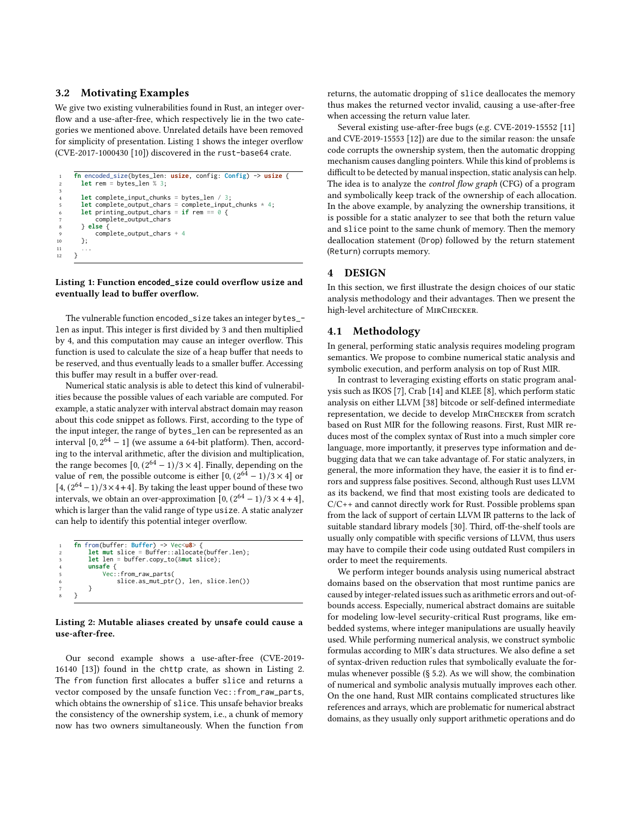## 3.2 Motivating Examples

We give two existing vulnerabilities found in Rust, an integer overflow and a use-after-free, which respectively lie in the two categories we mentioned above. Unrelated details have been removed for simplicity of presentation. Listing [1](#page-3-1) shows the integer overflow (CVE-2017-1000430 [\[10\]](#page-13-26)) discovered in the rust-base64 crate.

```
1 fn encoded_size(bytes_len: usize, config: Config) -> usize {
        2 let rem = bytes_len % 3;
 3
        4 let complete_input_chunks = bytes_len / 3;
         let complete_output_chars = complete_input_chunks * 4;<br>let printing_output_chars = if rem == \theta {
              printing\_output\_chargescomplete_output_chars
        8 } else {
9 complete_output_chars + 4<br>10 \}:
        10 };
\frac{11}{12}\mathcal{E}
```
#### Listing 1: Function **encoded\_size** could overflow **usize** and eventually lead to buffer overflow.

The vulnerable function encoded\_size takes an integer bytes\_ len as input. This integer is first divided by 3 and then multiplied by 4, and this computation may cause an integer overflow. This function is used to calculate the size of a heap buffer that needs to be reserved, and thus eventually leads to a smaller buffer. Accessing this buffer may result in a buffer over-read.

Numerical static analysis is able to detect this kind of vulnerabilities because the possible values of each variable are computed. For example, a static analyzer with interval abstract domain may reason about this code snippet as follows. First, according to the type of the input integer, the range of bytes\_len can be represented as an interval  $[0, 2^{64} - 1]$  (we assume a 64-bit platform). Then, according to the interval arithmetic, after the division and multiplication, the range becomes  $[0, (2^{64} – 1)/3 \times 4]$ . Finally, depending on the value of rem, the possible outcome is either  $[0, (2^{64} - 1)/3 \times 4]$  or  $[4, (2^{64}-1)/3 \times 4+4]$ . By taking the least upper bound of these two intervals, we obtain an over-approximation  $[0, (2^{64} – 1)/3 \times 4 + 4]$ , which is larger than the valid range of type usize. A static analyzer can help to identify this potential integer overflow.

```
1 fn from(buffer: Buffer) -> Vec<u8> {
    2 let mut slice = Buffer::allocate(buffer.len);
    3 let len = buffer.copy_to(&mut slice);
    4 unsafe {
         5 Vec::from_raw_parts(
             slice.as_mut_ptr(), len, slice.len())
    7 }
\mathcal{E}
```
#### Listing 2: Mutable aliases created by **unsafe** could cause a use-after-free.

Our second example shows a use-after-free (CVE-2019- 16140 [\[13\]](#page-13-27)) found in the chttp crate, as shown in Listing [2.](#page-3-2) The from function first allocates a buffer slice and returns a vector composed by the unsafe function Vec::from\_raw\_parts, which obtains the ownership of slice. This unsafe behavior breaks the consistency of the ownership system, i.e., a chunk of memory now has two owners simultaneously. When the function from

returns, the automatic dropping of slice deallocates the memory thus makes the returned vector invalid, causing a use-after-free when accessing the return value later.

Several existing use-after-free bugs (e.g. CVE-2019-15552 [\[11\]](#page-13-28) and CVE-2019-15553 [\[12\]](#page-13-29)) are due to the similar reason: the unsafe code corrupts the ownership system, then the automatic dropping mechanism causes dangling pointers. While this kind of problems is difficult to be detected by manual inspection, static analysis can help. The idea is to analyze the *control flow graph* (CFG) of a program and symbolically keep track of the ownership of each allocation. In the above example, by analyzing the ownership transitions, it is possible for a static analyzer to see that both the return value and slice point to the same chunk of memory. Then the memory deallocation statement (Drop) followed by the return statement (Return) corrupts memory.

## <span id="page-3-0"></span>4 DESIGN

In this section, we first illustrate the design choices of our static analysis methodology and their advantages. Then we present the high-level architecture of MIRCHECKER.

## 4.1 Methodology

In general, performing static analysis requires modeling program semantics. We propose to combine numerical static analysis and symbolic execution, and perform analysis on top of Rust MIR.

In contrast to leveraging existing efforts on static program analysis such as IKOS [\[7\]](#page-13-30), Crab [\[14\]](#page-13-31) and KLEE [\[8\]](#page-13-32), which perform static analysis on either LLVM [\[38\]](#page-13-33) bitcode or self-defined intermediate representation, we decide to develop MirChecker from scratch based on Rust MIR for the following reasons. First, Rust MIR reduces most of the complex syntax of Rust into a much simpler core language, more importantly, it preserves type information and debugging data that we can take advantage of. For static analyzers, in general, the more information they have, the easier it is to find errors and suppress false positives. Second, although Rust uses LLVM as its backend, we find that most existing tools are dedicated to C/C++ and cannot directly work for Rust. Possible problems span from the lack of support of certain LLVM IR patterns to the lack of suitable standard library models [\[30\]](#page-13-34). Third, off-the-shelf tools are usually only compatible with specific versions of LLVM, thus users may have to compile their code using outdated Rust compilers in order to meet the requirements.

We perform integer bounds analysis using numerical abstract domains based on the observation that most runtime panics are caused by integer-related issues such as arithmetic errors and out-ofbounds access. Especially, numerical abstract domains are suitable for modeling low-level security-critical Rust programs, like embedded systems, where integer manipulations are usually heavily used. While performing numerical analysis, we construct symbolic formulas according to MIR's data structures. We also define a set of syntax-driven reduction rules that symbolically evaluate the formulas whenever possible (§ [5.2\)](#page-5-0). As we will show, the combination of numerical and symbolic analysis mutually improves each other. On the one hand, Rust MIR contains complicated structures like references and arrays, which are problematic for numerical abstract domains, as they usually only support arithmetic operations and do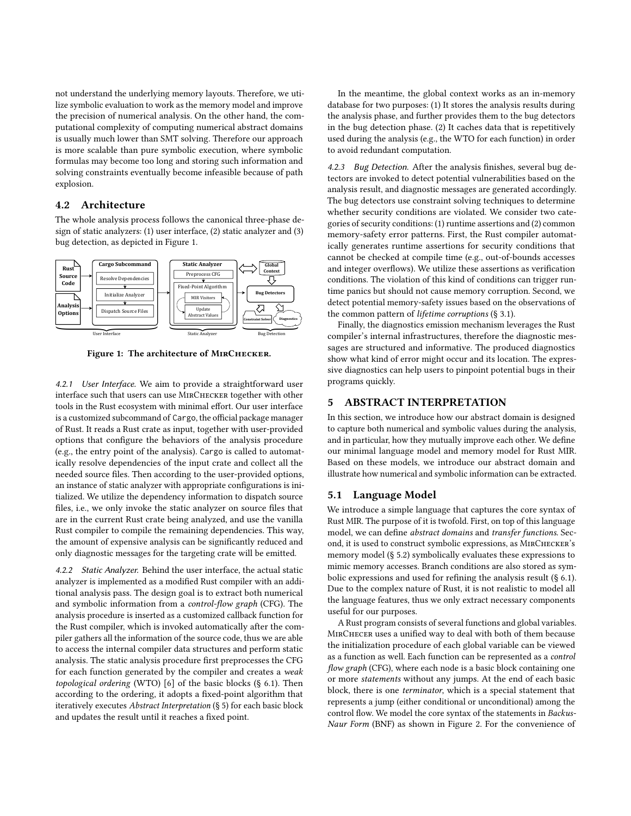not understand the underlying memory layouts. Therefore, we utilize symbolic evaluation to work as the memory model and improve the precision of numerical analysis. On the other hand, the computational complexity of computing numerical abstract domains is usually much lower than SMT solving. Therefore our approach is more scalable than pure symbolic execution, where symbolic formulas may become too long and storing such information and solving constraints eventually become infeasible because of path explosion.

## 4.2 Architecture

The whole analysis process follows the canonical three-phase design of static analyzers: (1) user interface, (2) static analyzer and (3) bug detection, as depicted in Figure [1.](#page-4-2)

<span id="page-4-2"></span>

Figure 1: The architecture of MIRCHECKER.

4.2.1 User Interface. We aim to provide a straightforward user interface such that users can use MirChecker together with other tools in the Rust ecosystem with minimal effort. Our user interface is a customized subcommand of Cargo, the official package manager of Rust. It reads a Rust crate as input, together with user-provided options that configure the behaviors of the analysis procedure (e.g., the entry point of the analysis). Cargo is called to automatically resolve dependencies of the input crate and collect all the needed source files. Then according to the user-provided options, an instance of static analyzer with appropriate configurations is initialized. We utilize the dependency information to dispatch source files, i.e., we only invoke the static analyzer on source files that are in the current Rust crate being analyzed, and use the vanilla Rust compiler to compile the remaining dependencies. This way, the amount of expensive analysis can be significantly reduced and only diagnostic messages for the targeting crate will be emitted.

4.2.2 Static Analyzer. Behind the user interface, the actual static analyzer is implemented as a modified Rust compiler with an additional analysis pass. The design goal is to extract both numerical and symbolic information from a control-flow graph (CFG). The analysis procedure is inserted as a customized callback function for the Rust compiler, which is invoked automatically after the compiler gathers all the information of the source code, thus we are able to access the internal compiler data structures and perform static analysis. The static analysis procedure first preprocesses the CFG for each function generated by the compiler and creates a weak topological ordering (WTO) [\[6\]](#page-13-35) of the basic blocks (§ [6.1\)](#page-7-0). Then according to the ordering, it adopts a fixed-point algorithm that iteratively executes Abstract Interpretation (§ [5\)](#page-4-1) for each basic block and updates the result until it reaches a fixed point.

In the meantime, the global context works as an in-memory database for two purposes: (1) It stores the analysis results during the analysis phase, and further provides them to the bug detectors in the bug detection phase. (2) It caches data that is repetitively used during the analysis (e.g., the WTO for each function) in order to avoid redundant computation.

<span id="page-4-0"></span>4.2.3 Bug Detection. After the analysis finishes, several bug detectors are invoked to detect potential vulnerabilities based on the analysis result, and diagnostic messages are generated accordingly. The bug detectors use constraint solving techniques to determine whether security conditions are violated. We consider two categories of security conditions: (1) runtime assertions and (2) common memory-safety error patterns. First, the Rust compiler automatically generates runtime assertions for security conditions that cannot be checked at compile time (e.g., out-of-bounds accesses and integer overflows). We utilize these assertions as verification conditions. The violation of this kind of conditions can trigger runtime panics but should not cause memory corruption. Second, we detect potential memory-safety issues based on the observations of the common pattern of lifetime corruptions (§ [3.1\)](#page-2-0).

Finally, the diagnostics emission mechanism leverages the Rust compiler's internal infrastructures, therefore the diagnostic messages are structured and informative. The produced diagnostics show what kind of error might occur and its location. The expressive diagnostics can help users to pinpoint potential bugs in their programs quickly.

## <span id="page-4-1"></span>5 ABSTRACT INTERPRETATION

In this section, we introduce how our abstract domain is designed to capture both numerical and symbolic values during the analysis, and in particular, how they mutually improve each other. We define our minimal language model and memory model for Rust MIR. Based on these models, we introduce our abstract domain and illustrate how numerical and symbolic information can be extracted.

#### <span id="page-4-3"></span>5.1 Language Model

We introduce a simple language that captures the core syntax of Rust MIR. The purpose of it is twofold. First, on top of this language model, we can define abstract domains and transfer functions. Second, it is used to construct symbolic expressions, as MirChecker's memory model (§ [5.2\)](#page-5-0) symbolically evaluates these expressions to mimic memory accesses. Branch conditions are also stored as symbolic expressions and used for refining the analysis result (§ [6.1\)](#page-7-0). Due to the complex nature of Rust, it is not realistic to model all the language features, thus we only extract necessary components useful for our purposes.

A Rust program consists of several functions and global variables. MirChecer uses a unified way to deal with both of them because the initialization procedure of each global variable can be viewed as a function as well. Each function can be represented as a control flow graph (CFG), where each node is a basic block containing one or more statements without any jumps. At the end of each basic block, there is one terminator, which is a special statement that represents a jump (either conditional or unconditional) among the control flow. We model the core syntax of the statements in Backus-Naur Form (BNF) as shown in Figure [2.](#page-5-1) For the convenience of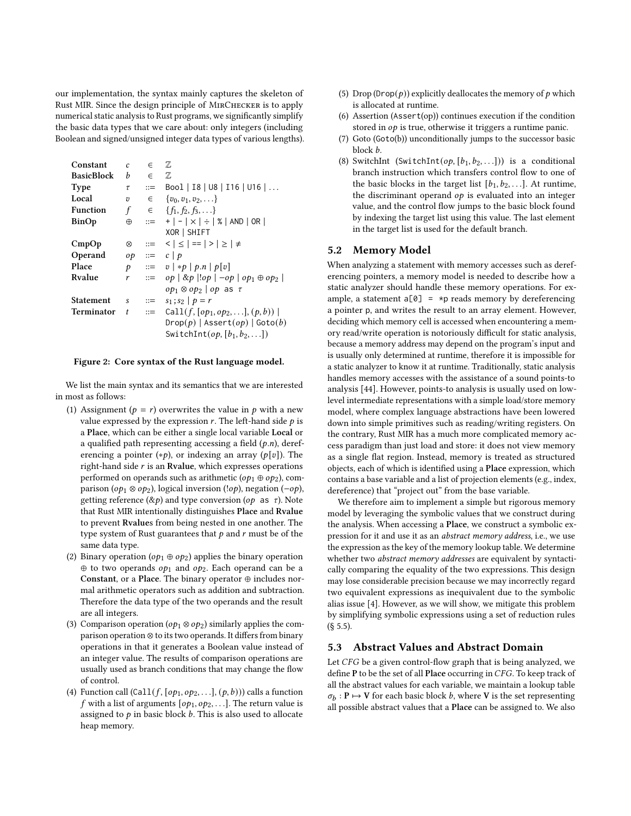our implementation, the syntax mainly captures the skeleton of Rust MIR. Since the design principle of MirChecker is to apply numerical static analysis to Rust programs, we significantly simplify the basic data types that we care about: only integers (including Boolean and signed/unsigned integer data types of various lengths).

<span id="page-5-1"></span>

| Constant          | $\mathcal{C}$ | $\in$                    | Z                                                                          |
|-------------------|---------------|--------------------------|----------------------------------------------------------------------------|
| <b>BasicBlock</b> | b             | $\epsilon$               | Z                                                                          |
| <b>Type</b>       | τ             | $::=$                    | Bool   I8   U8   I16   U16                                                 |
| Local             | υ             | $\in$                    | $\{v_0, v_1, v_2, \ldots\}$                                                |
| <b>Function</b>   | f             |                          | $\in$ { $f_1, f_2, f_3, \ldots$ }                                          |
| BinOp             | $\oplus$      | $:= -$                   | $+$   -   $\times$   $\div$   %   AND   OR                                 |
|                   |               |                          | XOR   SHIFT                                                                |
| CmpOp             | ⊗             | $\mathbf{r} =$           | $<$ $  \leq   ==   >   \geq   \neq$                                        |
| Operand           | op            | $::=$                    | c   p                                                                      |
| Place             | p             |                          | $\therefore = v \,   *p   p.n   p[v]$                                      |
| Rvalue            | r             |                          | $\Rightarrow$ $op \mid \& p \mid \log \mid -op \mid op_1 \oplus op_2 \mid$ |
|                   |               |                          | $op_1 \otimes op_2$   $op$ as $\tau$                                       |
| Statement         | S             | $\mathbf{C}:=\mathbf{C}$ | $s_1$ ; $s_2$   $p = r$                                                    |
| Terminator        | t             | $\mathbf{m}$             | Call $(f, [\text{op}_1, \text{op}_2, \ldots], (p, b))$                     |
|                   |               |                          | Drop(p)   Asset(op)   Goto(b)                                              |
|                   |               |                          | SwitchInt(op, $[b_1, b_2, \ldots]$ )                                       |

#### Figure 2: Core syntax of the Rust language model.

We list the main syntax and its semantics that we are interested in most as follows:

- (1) Assignment ( $p = r$ ) overwrites the value in p with a new value expressed by the expression  $r$ . The left-hand side  $p$  is a Place, which can be either a single local variable Local or a qualified path representing accessing a field  $(p.n)$ , dereferencing a pointer (\**p*), or indexing an array ( $p[v]$ ). The right-hand side  $r$  is an Rvalue, which expresses operations performed on operands such as arithmetic ( $op_1 \oplus op_2$ ), comparison ( $op_1 \otimes op_2$ ), logical inversion (! $op$ ), negation (− $op$ ), getting reference  $(\&p)$  and type conversion (*op* as  $\tau$ ). Note that Rust MIR intentionally distinguishes Place and Rvalue to prevent Rvalues from being nested in one another. The type system of Rust guarantees that  $p$  and  $r$  must be of the same data type.
- (2) Binary operation ( $op_1 \oplus op_2$ ) applies the binary operation  $\oplus$  to two operands  $op_1$  and  $op_2$ . Each operand can be a Constant, or a Place. The binary operator ⊕ includes normal arithmetic operators such as addition and subtraction. Therefore the data type of the two operands and the result are all integers.
- (3) Comparison operation ( $op_1 \otimes op_2$ ) similarly applies the comparison operation ⊗ to its two operands. It differs from binary operations in that it generates a Boolean value instead of an integer value. The results of comparison operations are usually used as branch conditions that may change the flow of control.
- (4) Function call  $(Call(f, [op_1, op_2, \ldots], (p, b)))$  calls a function f with a list of arguments  $[op_1, op_2, \ldots]$ . The return value is assigned to  $p$  in basic block  $b$ . This is also used to allocate heap memory.
- (5) Drop (Drop( $p$ )) explicitly deallocates the memory of  $p$  which is allocated at runtime.
- (6) Assertion (Assert(op)) continues execution if the condition stored in  $op$  is true, otherwise it triggers a runtime panic.
- (7) Goto (Goto(b)) unconditionally jumps to the successor basic block *b*.
- (8) SwitchInt (SwitchInt(op,  $[b_1, b_2, \ldots])$ ) is a conditional branch instruction which transfers control flow to one of the basic blocks in the target list  $[b_1, b_2, \ldots]$ . At runtime, the discriminant operand  $op$  is evaluated into an integer value, and the control flow jumps to the basic block found by indexing the target list using this value. The last element in the target list is used for the default branch.

## <span id="page-5-0"></span>5.2 Memory Model

When analyzing a statement with memory accesses such as dereferencing pointers, a memory model is needed to describe how a static analyzer should handle these memory operations. For example, a statement  $a[0] = *p$  reads memory by dereferencing a pointer p, and writes the result to an array element. However, deciding which memory cell is accessed when encountering a memory read/write operation is notoriously difficult for static analysis, because a memory address may depend on the program's input and is usually only determined at runtime, therefore it is impossible for a static analyzer to know it at runtime. Traditionally, static analysis handles memory accesses with the assistance of a sound points-to analysis [\[44\]](#page-13-36). However, points-to analysis is usually used on lowlevel intermediate representations with a simple load/store memory model, where complex language abstractions have been lowered down into simple primitives such as reading/writing registers. On the contrary, Rust MIR has a much more complicated memory access paradigm than just load and store: it does not view memory as a single flat region. Instead, memory is treated as structured objects, each of which is identified using a Place expression, which contains a base variable and a list of projection elements (e.g., index, dereference) that "project out" from the base variable.

We therefore aim to implement a simple but rigorous memory model by leveraging the symbolic values that we construct during the analysis. When accessing a Place, we construct a symbolic expression for it and use it as an abstract memory address, i.e., we use the expression as the key of the memory lookup table. We determine whether two abstract memory addresses are equivalent by syntactically comparing the equality of the two expressions. This design may lose considerable precision because we may incorrectly regard two equivalent expressions as inequivalent due to the symbolic alias issue [\[4\]](#page-12-2). However, as we will show, we mitigate this problem by simplifying symbolic expressions using a set of reduction rules (§ [5.5\)](#page-6-1).

#### 5.3 Abstract Values and Abstract Domain

Let CFG be a given control-flow graph that is being analyzed, we define P to be the set of all Place occurring in CFG. To keep track of all the abstract values for each variable, we maintain a lookup table  $\sigma_b: \mathbf{P} \mapsto \mathbf{V}$  for each basic block b, where V is the set representing all possible abstract values that a Place can be assigned to. We also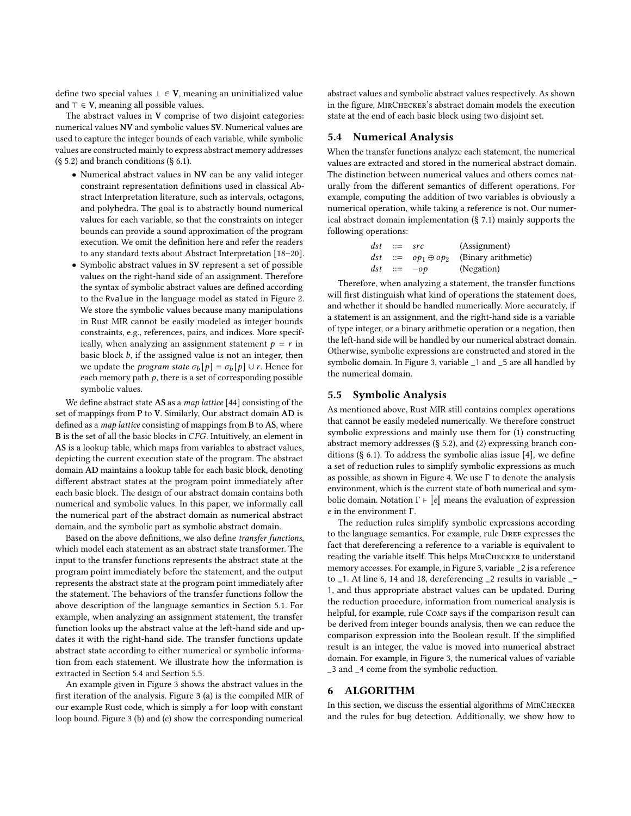define two special values  $⊥ ∈ V$ , meaning an uninitialized value and  $\top \in V$ , meaning all possible values.

The abstract values in V comprise of two disjoint categories: numerical values NV and symbolic values SV. Numerical values are used to capture the integer bounds of each variable, while symbolic values are constructed mainly to express abstract memory addresses  $(\S$  [5.2\)](#page-5-0) and branch conditions  $(\S$  [6.1\)](#page-7-0).

- Numerical abstract values in NV can be any valid integer constraint representation definitions used in classical Abstract Interpretation literature, such as intervals, octagons, and polyhedra. The goal is to abstractly bound numerical values for each variable, so that the constraints on integer bounds can provide a sound approximation of the program execution. We omit the definition here and refer the readers to any standard texts about Abstract Interpretation [\[18](#page-13-11)[–20\]](#page-13-12).
- Symbolic abstract values in SV represent a set of possible values on the right-hand side of an assignment. Therefore the syntax of symbolic abstract values are defined according to the Rvalue in the language model as stated in Figure [2.](#page-5-1) We store the symbolic values because many manipulations in Rust MIR cannot be easily modeled as integer bounds constraints, e.g., references, pairs, and indices. More specifically, when analyzing an assignment statement  $p = r$  in basic block  $b$ , if the assigned value is not an integer, then we update the *program state*  $\sigma_b[p] = \sigma_b[p] \cup r$ . Hence for each memory path  $p$ , there is a set of corresponding possible symbolic values.

We define abstract state AS as a map lattice [\[44\]](#page-13-36) consisting of the set of mappings from P to V. Similarly, Our abstract domain AD is defined as a map lattice consisting of mappings from B to AS, where  $B$  is the set of all the basic blocks in  $CFG$ . Intuitively, an element in AS is a lookup table, which maps from variables to abstract values, depicting the current execution state of the program. The abstract domain AD maintains a lookup table for each basic block, denoting different abstract states at the program point immediately after each basic block. The design of our abstract domain contains both numerical and symbolic values. In this paper, we informally call the numerical part of the abstract domain as numerical abstract domain, and the symbolic part as symbolic abstract domain.

Based on the above definitions, we also define transfer functions, which model each statement as an abstract state transformer. The input to the transfer functions represents the abstract state at the program point immediately before the statement, and the output represents the abstract state at the program point immediately after the statement. The behaviors of the transfer functions follow the above description of the language semantics in Section [5.1.](#page-4-3) For example, when analyzing an assignment statement, the transfer function looks up the abstract value at the left-hand side and updates it with the right-hand side. The transfer functions update abstract state according to either numerical or symbolic information from each statement. We illustrate how the information is extracted in Section [5.4](#page-6-2) and Section [5.5.](#page-6-1)

An example given in Figure [3](#page-7-1) shows the abstract values in the first iteration of the analysis. Figure [3](#page-7-1) (a) is the compiled MIR of our example Rust code, which is simply a for loop with constant loop bound. Figure [3](#page-7-1) (b) and (c) show the corresponding numerical abstract values and symbolic abstract values respectively. As shown in the figure, MirChecker's abstract domain models the execution state at the end of each basic block using two disjoint set.

## <span id="page-6-2"></span>5.4 Numerical Analysis

When the transfer functions analyze each statement, the numerical values are extracted and stored in the numerical abstract domain. The distinction between numerical values and others comes naturally from the different semantics of different operations. For example, computing the addition of two variables is obviously a numerical operation, while taking a reference is not. Our numerical abstract domain implementation (§ [7.1\)](#page-9-2) mainly supports the following operations:

| $dst ::= src$ |                 | (Assignment)                                          |
|---------------|-----------------|-------------------------------------------------------|
|               |                 | <i>dst</i> ::= $op_1 \oplus op_2$ (Binary arithmetic) |
|               | $dst \ ::= -op$ | (Negation)                                            |

Therefore, when analyzing a statement, the transfer functions will first distinguish what kind of operations the statement does, and whether it should be handled numerically. More accurately, if a statement is an assignment, and the right-hand side is a variable of type integer, or a binary arithmetic operation or a negation, then the left-hand side will be handled by our numerical abstract domain. Otherwise, symbolic expressions are constructed and stored in the symbolic domain. In Figure [3,](#page-7-1) variable \_1 and \_5 are all handled by the numerical domain.

#### <span id="page-6-1"></span>5.5 Symbolic Analysis

As mentioned above, Rust MIR still contains complex operations that cannot be easily modeled numerically. We therefore construct symbolic expressions and mainly use them for (1) constructing abstract memory addresses (§ [5.2\)](#page-5-0), and (2) expressing branch conditions (§ [6.1\)](#page-7-0). To address the symbolic alias issue [\[4\]](#page-12-2), we define a set of reduction rules to simplify symbolic expressions as much as possible, as shown in Figure [4.](#page-7-2) We use  $\Gamma$  to denote the analysis environment, which is the current state of both numerical and symbolic domain. Notation  $\Gamma \vdash \llbracket e \rrbracket$  means the evaluation of expression  $e$  in the environment Γ.

The reduction rules simplify symbolic expressions according to the language semantics. For example, rule DREF expresses the fact that dereferencing a reference to a variable is equivalent to reading the variable itself. This helps MirChecker to understand memory accesses. For example, in Figure [3,](#page-7-1) variable \_2 is a reference to \_1. At line 6, 14 and 18, dereferencing \_2 results in variable \_- 1, and thus appropriate abstract values can be updated. During the reduction procedure, information from numerical analysis is helpful, for example, rule Comp says if the comparison result can be derived from integer bounds analysis, then we can reduce the comparison expression into the Boolean result. If the simplified result is an integer, the value is moved into numerical abstract domain. For example, in Figure [3,](#page-7-1) the numerical values of variable \_3 and \_4 come from the symbolic reduction.

#### <span id="page-6-0"></span>6 ALGORITHM

In this section, we discuss the essential algorithms of MirChecker and the rules for bug detection. Additionally, we show how to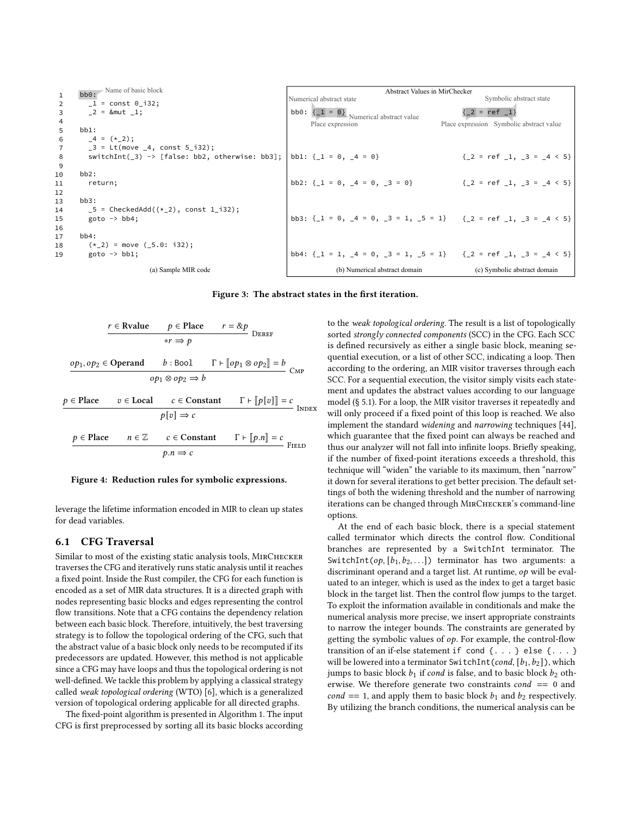<span id="page-7-1"></span>

| $\mathbf{1}$            | bb0: Name of basic block                            | Abstract Values in MirChecker |                                                                                  |  |                                          |  |  |  |  |
|-------------------------|-----------------------------------------------------|-------------------------------|----------------------------------------------------------------------------------|--|------------------------------------------|--|--|--|--|
| 2                       | $1 = const 0 i32;$                                  |                               | Numerical abstract state                                                         |  | Symbolic abstract state                  |  |  |  |  |
| $\overline{\mathbf{3}}$ | $2 = 8$ mut 1;                                      |                               | <b>bb0:</b> $\begin{cases} 1 = 0 \end{cases}$ Numerical abstract value           |  | $\{-2 = ref_1\}$                         |  |  |  |  |
| $\overline{4}$          |                                                     |                               | Place expression                                                                 |  | Place expression Symbolic abstract value |  |  |  |  |
| $5^{\circ}$             | $bb1$ :                                             |                               |                                                                                  |  |                                          |  |  |  |  |
| 6                       | $-4 = (*2);$                                        |                               |                                                                                  |  |                                          |  |  |  |  |
| $\overline{7}$          | $-3$ = Lt(move $-4$ , const 5 $-132$ );             |                               |                                                                                  |  |                                          |  |  |  |  |
| 8                       | switchInt( $\_3$ ) -> [false: bb2, otherwise: bb3]; |                               | bb1: $\{ 1 = 0, 4 = 0 \}$                                                        |  | ${2 = ref 1, 3 = 4 \lt 5}$               |  |  |  |  |
| -9                      |                                                     |                               |                                                                                  |  |                                          |  |  |  |  |
| 10                      | $bb2$ :                                             |                               |                                                                                  |  |                                          |  |  |  |  |
| 11                      | return;                                             |                               | bb2: $\{ 1 = 0, 4 = 0, 3 = 0 \}$                                                 |  | ${2 = ref \, 1, 3 = 4 \leq 5}$           |  |  |  |  |
| 12                      |                                                     |                               |                                                                                  |  |                                          |  |  |  |  |
| 13                      | bb3:                                                |                               |                                                                                  |  |                                          |  |  |  |  |
| 14                      | $-5$ = CheckedAdd(( $\star$ 2), const 1 - i32);     |                               |                                                                                  |  |                                          |  |  |  |  |
| 15                      | goto $\rightarrow$ bb4;                             |                               | bb3: $\{ 1 = 0, 4 = 0, 3 = 1, 5 = 1 \}$ $\{ 2 = ref, 1, 3 = 4 \le 5 \}$          |  |                                          |  |  |  |  |
| 16                      |                                                     |                               |                                                                                  |  |                                          |  |  |  |  |
| 17                      | bb4:                                                |                               |                                                                                  |  |                                          |  |  |  |  |
| 18                      | $(* 2) = move (5.0: i32);$                          |                               |                                                                                  |  |                                          |  |  |  |  |
| 19                      | $goto \rightarrow bb1;$                             |                               | bb4: $\{-1 = 1, -4 = 0, -3 = 1, -5 = 1\}$ $\{-2 = \text{ref } -1, -3 = -4 < 5\}$ |  |                                          |  |  |  |  |
|                         | (a) Sample MIR code                                 |                               | (b) Numerical abstract domain                                                    |  | (c) Symbolic abstract domain             |  |  |  |  |

Figure 3: The abstract states in the first iteration.

<span id="page-7-2"></span>
$$
r \in \text{Rvalue} \qquad p \in \text{Place} \qquad r = \& p
$$
\n
$$
*r \Rightarrow p
$$
\n
$$
\underbrace{op_1, op_2 \in \text{Operand} \qquad b : \text{Bool} \qquad \Gamma \vdash [\![op_1 \otimes op_2]\!] = b}_{\text{OP1} \otimes \text{OP2}} \text{CMP}
$$
\n
$$
p \in \text{Place} \qquad v \in \text{Local} \qquad c \in \text{Constant} \qquad \Gamma \vdash [\![p[v]]\!] = c
$$
\n
$$
p[v] \Rightarrow c
$$
\n
$$
p \in \text{Place} \qquad n \in \mathbb{Z} \qquad c \in \text{Constant} \qquad \Gamma \vdash [\![p.n]\!] = c
$$
\n
$$
p.n \Rightarrow c
$$
\nFieLD

#### Figure 4: Reduction rules for symbolic expressions.

leverage the lifetime information encoded in MIR to clean up states for dead variables.

#### <span id="page-7-0"></span>6.1 CFG Traversal

Similar to most of the existing static analysis tools, MIRCHECKER traverses the CFG and iteratively runs static analysis until it reaches a fixed point. Inside the Rust compiler, the CFG for each function is encoded as a set of MIR data structures. It is a directed graph with nodes representing basic blocks and edges representing the control flow transitions. Note that a CFG contains the dependency relation between each basic block. Therefore, intuitively, the best traversing strategy is to follow the topological ordering of the CFG, such that the abstract value of a basic block only needs to be recomputed if its predecessors are updated. However, this method is not applicable since a CFG may have loops and thus the topological ordering is not well-defined. We tackle this problem by applying a classical strategy called weak topological ordering (WTO) [\[6\]](#page-13-35), which is a generalized version of topological ordering applicable for all directed graphs.

The fixed-point algorithm is presented in Algorithm [1.](#page-8-0) The input CFG is first preprocessed by sorting all its basic blocks according to the weak topological ordering. The result is a list of topologically sorted strongly connected components (SCC) in the CFG. Each SCC is defined recursively as either a single basic block, meaning sequential execution, or a list of other SCC, indicating a loop. Then according to the ordering, an MIR visitor traverses through each SCC. For a sequential execution, the visitor simply visits each statement and updates the abstract values according to our language model (§ [5.1\)](#page-4-3). For a loop, the MIR visitor traverses it repeatedly and will only proceed if a fixed point of this loop is reached. We also implement the standard widening and narrowing techniques [\[44\]](#page-13-36), which guarantee that the fixed point can always be reached and thus our analyzer will not fall into infinite loops. Briefly speaking, if the number of fixed-point iterations exceeds a threshold, this technique will "widen" the variable to its maximum, then "narrow" it down for several iterations to get better precision. The default settings of both the widening threshold and the number of narrowing iterations can be changed through MirChecker's command-line options.

At the end of each basic block, there is a special statement called terminator which directs the control flow. Conditional branches are represented by a SwitchInt terminator. The SwitchInt(op,  $[b_1, b_2, \ldots]$ ) terminator has two arguments: a discriminant operand and a target list. At runtime,  $op$  will be evaluated to an integer, which is used as the index to get a target basic block in the target list. Then the control flow jumps to the target. To exploit the information available in conditionals and make the numerical analysis more precise, we insert appropriate constraints to narrow the integer bounds. The constraints are generated by getting the symbolic values of  $op.$  For example, the control-flow transition of an if-else statement if cond {. . . } else {. . . } will be lowered into a terminator SwitchInt(cond,  $[b_1, b_2]$ ), which jumps to basic block  $b_1$  if cond is false, and to basic block  $b_2$  otherwise. We therefore generate two constraints  $cond == 0$  and cond == 1, and apply them to basic block  $b_1$  and  $b_2$  respectively. By utilizing the branch conditions, the numerical analysis can be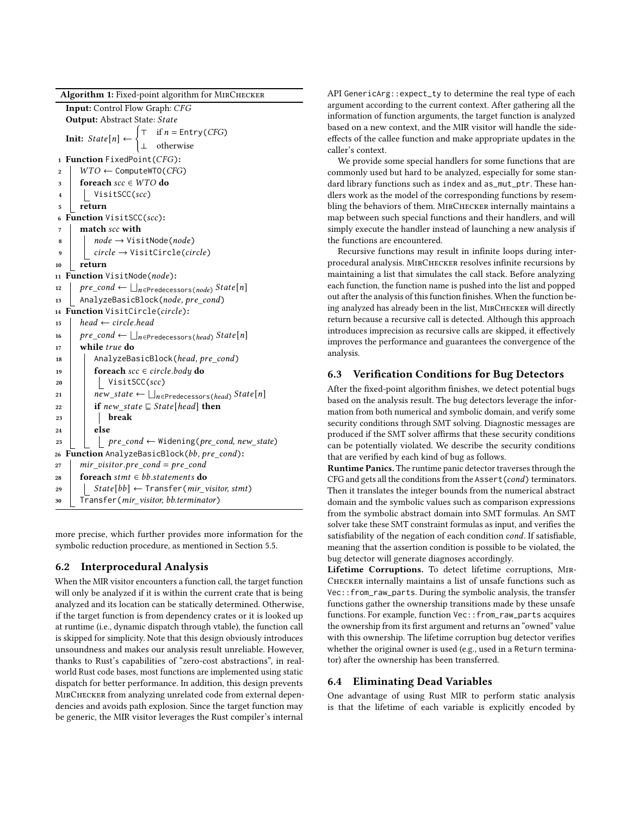Algorithm 1: Fixed-point algorithm for MIRCHECKER

|                | Input: Control Flow Graph: CFG                                                                                                  |  |  |  |  |
|----------------|---------------------------------------------------------------------------------------------------------------------------------|--|--|--|--|
|                | <b>Output:</b> Abstract State: State                                                                                            |  |  |  |  |
|                |                                                                                                                                 |  |  |  |  |
|                | <b>Init:</b> $State[n] \leftarrow \begin{cases} \top & \text{if } n = \text{Entry}(CFG) \\ \bot & \text{otherwise} \end{cases}$ |  |  |  |  |
| $\mathbf{1}$   | Function FixedPoint(CFG):                                                                                                       |  |  |  |  |
| $\overline{2}$ | $WTO \leftarrow$ ComputeWTO(CFG)                                                                                                |  |  |  |  |
| 3              | foreach $\text{src} \in WTO$ do                                                                                                 |  |  |  |  |
| $\overline{4}$ | VisitSCC(scc)                                                                                                                   |  |  |  |  |
| 5              | return                                                                                                                          |  |  |  |  |
| 6              | Function VisitSCC(scc):                                                                                                         |  |  |  |  |
| 7              | match scc with                                                                                                                  |  |  |  |  |
| 8              | $node \rightarrow VisitNode(node)$                                                                                              |  |  |  |  |
| 9              | $circle \rightarrow VisitCircle(circle)$                                                                                        |  |  |  |  |
| 10             | return                                                                                                                          |  |  |  |  |
| 11             | Function VisitNode(node):                                                                                                       |  |  |  |  |
| 12             | $\textit{pre\_cond} \leftarrow \bigsqcup_{n \in \text{Predecessors}(\textit{node})} \textit{State}[n]$                          |  |  |  |  |
| 13             | AnalyzeBasicBlock(node, pre_cond)                                                                                               |  |  |  |  |
| 14             | Function VisitCircle(circle):                                                                                                   |  |  |  |  |
| 15             | head $\leftarrow$ circle.head                                                                                                   |  |  |  |  |
| 16             | $\mathit{pre\_cond} \leftarrow \bigsqcup_{n \in \mathsf{Predecessors}(\mathit{head})} State[n]$                                 |  |  |  |  |
| 17             | while true do                                                                                                                   |  |  |  |  |
| 18             | AnalyzeBasicBlock(head, pre_cond)                                                                                               |  |  |  |  |
| 19             | <b>foreach</b> $\text{scc} \in \text{circle}$ .body <b>do</b>                                                                   |  |  |  |  |
| 20             | VisitSCC(scc)                                                                                                                   |  |  |  |  |
| 21             | $new\_state \leftarrow \bigsqcup_{n \in \text{Predecessors}(head)} State[n]$                                                    |  |  |  |  |
| 22             | if new_state $\sqsubseteq$ State [head] then                                                                                    |  |  |  |  |
| 23             | break                                                                                                                           |  |  |  |  |
| 24             | else                                                                                                                            |  |  |  |  |
| 25             | $pre\_cond \leftarrow$ Widening(pre_cond, new_state)                                                                            |  |  |  |  |
| 26             | Function AnalyzeBasicBlock(bb, pre_cond):                                                                                       |  |  |  |  |
| 27             | $mir\_vistor.pre\_cond = pre\_cond$                                                                                             |  |  |  |  |
| 28             | foreach stmt $\in$ bb statements do                                                                                             |  |  |  |  |
| 29             | $State[bb] \leftarrow Transfer(min\_visitor, \textit{stmt})$                                                                    |  |  |  |  |
| 30             | Transfer(mir_visitor, bb.terminator)                                                                                            |  |  |  |  |

<span id="page-8-0"></span>more precise, which further provides more information for the symbolic reduction procedure, as mentioned in Section [5.5.](#page-6-1)

## 6.2 Interprocedural Analysis

When the MIR visitor encounters a function call, the target function will only be analyzed if it is within the current crate that is being analyzed and its location can be statically determined. Otherwise, if the target function is from dependency crates or it is looked up at runtime (i.e., dynamic dispatch through vtable), the function call is skipped for simplicity. Note that this design obviously introduces unsoundness and makes our analysis result unreliable. However, thanks to Rust's capabilities of "zero-cost abstractions", in realworld Rust code bases, most functions are implemented using static dispatch for better performance. In addition, this design prevents MirChecker from analyzing unrelated code from external dependencies and avoids path explosion. Since the target function may be generic, the MIR visitor leverages the Rust compiler's internal

API GenericArg::expect\_ty to determine the real type of each argument according to the current context. After gathering all the information of function arguments, the target function is analyzed based on a new context, and the MIR visitor will handle the sideeffects of the callee function and make appropriate updates in the caller's context.

We provide some special handlers for some functions that are commonly used but hard to be analyzed, especially for some standard library functions such as index and as\_mut\_ptr. These handlers work as the model of the corresponding functions by resembling the behaviors of them. MIRCHECKER internally maintains a map between such special functions and their handlers, and will simply execute the handler instead of launching a new analysis if the functions are encountered.

Recursive functions may result in infinite loops during interprocedural analysis. MirChecker resolves infinite recursions by maintaining a list that simulates the call stack. Before analyzing each function, the function name is pushed into the list and popped out after the analysis of this function finishes. When the function being analyzed has already been in the list, MirChecker will directly return because a recursive call is detected. Although this approach introduces imprecision as recursive calls are skipped, it effectively improves the performance and guarantees the convergence of the analysis.

## 6.3 Verification Conditions for Bug Detectors

After the fixed-point algorithm finishes, we detect potential bugs based on the analysis result. The bug detectors leverage the information from both numerical and symbolic domain, and verify some security conditions through SMT solving. Diagnostic messages are produced if the SMT solver affirms that these security conditions can be potentially violated. We describe the security conditions that are verified by each kind of bug as follows.

Runtime Panics. The runtime panic detector traverses through the CFG and gets all the conditions from the  $\text{assert}(\text{cond})$  terminators. Then it translates the integer bounds from the numerical abstract domain and the symbolic values such as comparison expressions from the symbolic abstract domain into SMT formulas. An SMT solver take these SMT constraint formulas as input, and verifies the satisfiability of the negation of each condition *cond*. If satisfiable, meaning that the assertion condition is possible to be violated, the bug detector will generate diagnoses accordingly.

Lifetime Corruptions. To detect lifetime corruptions, Mir-Checker internally maintains a list of unsafe functions such as Vec::from\_raw\_parts. During the symbolic analysis, the transfer functions gather the ownership transitions made by these unsafe functions. For example, function Vec::from\_raw\_parts acquires the ownership from its first argument and returns an "owned" value with this ownership. The lifetime corruption bug detector verifies whether the original owner is used (e.g., used in a Return terminator) after the ownership has been transferred.

## <span id="page-8-1"></span>6.4 Eliminating Dead Variables

One advantage of using Rust MIR to perform static analysis is that the lifetime of each variable is explicitly encoded by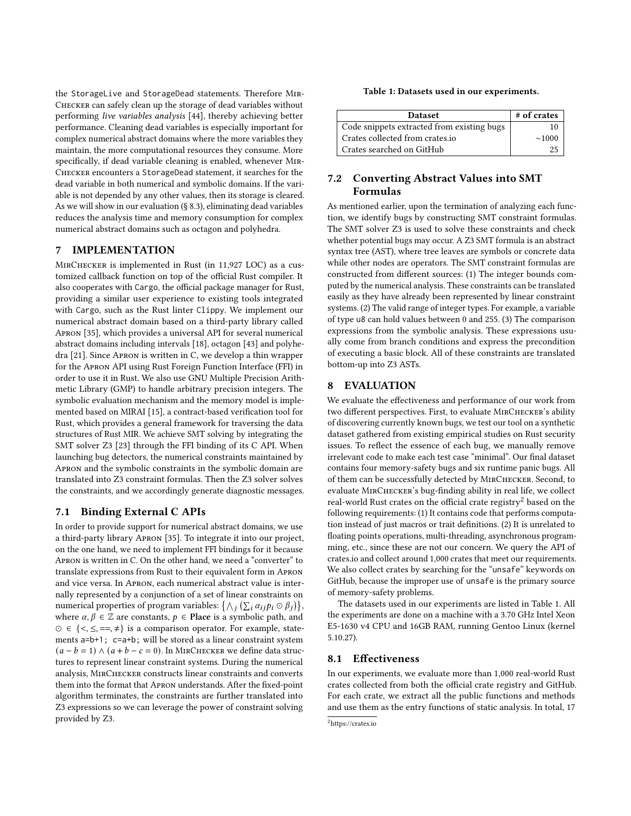the StorageLive and StorageDead statements. Therefore Mir-Checker can safely clean up the storage of dead variables without performing live variables analysis [\[44\]](#page-13-36), thereby achieving better performance. Cleaning dead variables is especially important for complex numerical abstract domains where the more variables they maintain, the more computational resources they consume. More specifically, if dead variable cleaning is enabled, whenever Mir-Checker encounters a StorageDead statement, it searches for the dead variable in both numerical and symbolic domains. If the variable is not depended by any other values, then its storage is cleared. As we will show in our evaluation (§ [8.3\)](#page-10-0), eliminating dead variables reduces the analysis time and memory consumption for complex numerical abstract domains such as octagon and polyhedra.

## <span id="page-9-0"></span>7 IMPLEMENTATION

MirChecker is implemented in Rust (in 11,927 LOC) as a customized callback function on top of the official Rust compiler. It also cooperates with Cargo, the official package manager for Rust, providing a similar user experience to existing tools integrated with Cargo, such as the Rust linter Clippy. We implement our numerical abstract domain based on a third-party library called Apron [\[35\]](#page-13-37), which provides a universal API for several numerical abstract domains including intervals [\[18\]](#page-13-11), octagon [\[43\]](#page-13-20) and polyhedra [\[21\]](#page-13-21). Since Apron is written in C, we develop a thin wrapper for the Apron API using Rust Foreign Function Interface (FFI) in order to use it in Rust. We also use GNU Multiple Precision Arithmetic Library (GMP) to handle arbitrary precision integers. The symbolic evaluation mechanism and the memory model is implemented based on MIRAI [\[15\]](#page-13-38), a contract-based verification tool for Rust, which provides a general framework for traversing the data structures of Rust MIR. We achieve SMT solving by integrating the SMT solver Z3 [\[23\]](#page-13-39) through the FFI binding of its C API. When launching bug detectors, the numerical constraints maintained by Apron and the symbolic constraints in the symbolic domain are translated into Z3 constraint formulas. Then the Z3 solver solves the constraints, and we accordingly generate diagnostic messages.

## <span id="page-9-2"></span>7.1 Binding External C APIs

In order to provide support for numerical abstract domains, we use a third-party library Apron [\[35\]](#page-13-37). To integrate it into our project, on the one hand, we need to implement FFI bindings for it because Apron is written in C. On the other hand, we need a "converter" to translate expressions from Rust to their equivalent form in Apron and vice versa. In Apron, each numerical abstract value is internally represented by a conjunction of a set of linear constraints on numerical properties of program variables:  $\{\wedge_i (\sum_i \alpha_{ij} p_i \odot \beta_j)\},$ where  $\alpha, \beta \in \mathbb{Z}$  are constants,  $p \in$  Place is a symbolic path, and  $\odot \in \{<,\leq,==,\neq\}$  is a comparison operator. For example, statements a=b+1; c=a+b; will be stored as a linear constraint system  $(a - b = 1) \wedge (a + b - c = 0)$ . In MIRCHECKER we define data structures to represent linear constraint systems. During the numerical analysis, MirChecker constructs linear constraints and converts them into the format that Apron understands. After the fixed-point algorithm terminates, the constraints are further translated into Z3 expressions so we can leverage the power of constraint solving provided by Z3.

#### Table 1: Datasets used in our experiments.

<span id="page-9-4"></span>

| <b>Dataset</b>                             | # of crates |
|--------------------------------------------|-------------|
| Code snippets extracted from existing bugs | 10          |
| Crates collected from crates.io            | $\sim 1000$ |
| Crates searched on GitHub                  | 25          |

## 7.2 Converting Abstract Values into SMT Formulas

As mentioned earlier, upon the termination of analyzing each function, we identify bugs by constructing SMT constraint formulas. The SMT solver Z3 is used to solve these constraints and check whether potential bugs may occur. A Z3 SMT formula is an abstract syntax tree (AST), where tree leaves are symbols or concrete data while other nodes are operators. The SMT constraint formulas are constructed from different sources: (1) The integer bounds computed by the numerical analysis. These constraints can be translated easily as they have already been represented by linear constraint systems. (2) The valid range of integer types. For example, a variable of type u8 can hold values between 0 and 255. (3) The comparison expressions from the symbolic analysis. These expressions usually come from branch conditions and express the precondition of executing a basic block. All of these constraints are translated bottom-up into Z3 ASTs.

## <span id="page-9-1"></span>8 EVALUATION

We evaluate the effectiveness and performance of our work from two different perspectives. First, to evaluate MIRCHECKER's ability of discovering currently known bugs, we test our tool on a synthetic dataset gathered from existing empirical studies on Rust security issues. To reflect the essence of each bug, we manually remove irrelevant code to make each test case "minimal". Our final dataset contains four memory-safety bugs and six runtime panic bugs. All of them can be successfully detected by MirChecker. Second, to evaluate MirChecker's bug-finding ability in real life, we collect real-world Rust crates on the official crate registry<sup>[2](#page-9-3)</sup> based on the following requirements: (1) It contains code that performs computation instead of just macros or trait definitions. (2) It is unrelated to floating points operations, multi-threading, asynchronous programming, etc., since these are not our concern. We query the API of <crates.io> and collect around 1,000 crates that meet our requirements. We also collect crates by searching for the "unsafe" keywords on GitHub, because the improper use of unsafe is the primary source of memory-safety problems.

The datasets used in our experiments are listed in Table [1.](#page-9-4) All the experiments are done on a machine with a 3.70 GHz Intel Xeon E5-1630 v4 CPU and 16GB RAM, running Gentoo Linux (kernel 5.10.27).

#### 8.1 Effectiveness

In our experiments, we evaluate more than 1,000 real-world Rust crates collected from both the official crate registry and GitHub. For each crate, we extract all the public functions and methods and use them as the entry functions of static analysis. In total, 17

<span id="page-9-3"></span><sup>2</sup><https://crates.io>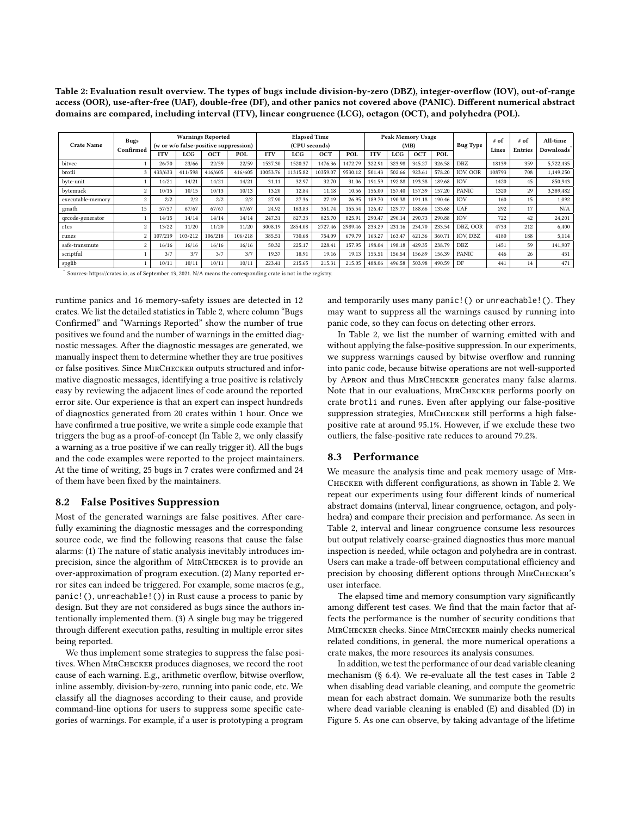Table 2: Evaluation result overview. The types of bugs include division-by-zero (DBZ), integer-overflow (IOV), out-of-range access (OOR), use-after-free (UAF), double-free (DF), and other panics not covered above (PANIC). Different numerical abstract domains are compared, including interval (ITV), linear congruence (LCG), octagon (OCT), and polyhedra (POL).

<span id="page-10-1"></span>

| <b>Crate Name</b> | Bugs<br>Confirmed       | <b>Warnings Reported</b><br>(w or w/o false-positive suppression) |         |         | <b>Elapsed Time</b><br>(CPU seconds) |            |          |          | Peak Memory Usage<br>(MB) |            |              |            | <b>Bug Type</b> | # of<br>Lines   | # of<br><b>Entries</b> | All-time<br><b>Downloads</b> |           |
|-------------------|-------------------------|-------------------------------------------------------------------|---------|---------|--------------------------------------|------------|----------|----------|---------------------------|------------|--------------|------------|-----------------|-----------------|------------------------|------------------------------|-----------|
|                   |                         | <b>ITV</b>                                                        | LCG     | OCT     | POL                                  | <b>ITV</b> | LCG      | OCT      | <b>POL</b>                | <b>ITV</b> | $_{\rm LCG}$ | <b>OCT</b> | POL             |                 |                        |                              |           |
| bitvec            |                         | 26/70                                                             | 23/66   | 22/59   | 22/59                                | 1537.30    | 1520.37  | 1476.36  | 1472.79                   | 322.91     | 323.98       | 345.27     | 326.58          | DBZ             | 18139                  | 359                          | 5.722.435 |
| brotli            | 3                       | 433/633                                                           | 411/598 | 416/605 | 416/605                              | 10053.76   | 11315.82 | 10359.07 | 9530.12                   | 501.43     | 502.66       | 923.61     | 578.20          | <b>IOV. OOR</b> | 108793                 | 708                          | 1,149,250 |
| byte-unit         |                         | 14/21                                                             | 14/21   | 14/21   | 14/21                                | 31.11      | 32.97    | 32.70    | 31.06                     | 191.59     | 192.88       | 193.38     | 189.68          | IOV             | 1420                   | 45                           | 850.943   |
| bytemuck          | $\overline{2}$          | 10/15                                                             | 10/15   | 10/13   | 10/13                                | 13.20      | 12.84    | 11.18    | 10.56                     | 156.00     | 157.40       | 157.39     | 157.20          | PANIC           | 1320                   | 29                           | 3,389,482 |
| executable-memory | $\overline{2}$          | 2/2                                                               | 2/2     | 2/2     | 2/2                                  | 27.90      | 27.36    | 27.19    | 26.95                     | 189.70     | 190.38       | 191.18     | 190.46          | IOV             | 160                    | 15                           | 1,092     |
| gmath             | 15                      | 57/57                                                             | 67/67   | 67/67   | 67/67                                | 24.92      | 163.83   | 351.74   | 155.54                    | 126.47     | 129.77       | 188.66     | 133.68          | UAF             | 292                    | 17                           | N/A       |
| qrcode-generator  |                         | 14/15                                                             | 14/14   | 14/14   | 14/14                                | 247.31     | 827.33   | 825.70   | 825.91                    | 290.47     | 290.14       | 290.73     | 290.88          | <b>IOV</b>      | 722                    | 42                           | 24,201    |
| r1cs              | $\overline{2}$          | 13/22                                                             | 11/20   | 11/20   | 11/20                                | 3008.19    | 2854.08  | 2727.46  | 2989.46                   | 233.29     | 231.16       | 234.70     | 233.54          | DBZ, OOR        | 4733                   | 212                          | 6,400     |
| runes             | $\overline{\mathbf{2}}$ | 107/219                                                           | 103/212 | 106/218 | 106/218                              | 385.51     | 730.68   | 754.09   | 679.79                    | 163.27     | 163.47       | 621.36     | 360.71          | IOV. DBZ        | 4180                   | 188                          | 5.114     |
| safe-transmute    | $\overline{2}$          | 16/16                                                             | 16/16   | 16/16   | 16/16                                | 50.32      | 225.17   | 228.41   | 157.95                    | 198.04     | 198.18       | 429.35     | 238.79          | DBZ             | 1451                   | 59                           | 141,907   |
| scriptful         |                         | 3/7                                                               | 3/7     | 3/7     | 3/7                                  | 19.37      | 18.91    | 19.16    | 19.13                     | 155.51     | 156.54       | 156.89     | 156.39          | PANIC           | 446                    | 26                           | 451       |
| spglib            |                         | 10/11                                                             | 10/11   | 10/11   | 10/11                                | 223.41     | 215.65   | 215.31   | 215.05                    | 488.06     | 496.58       | 503.98     | 490.59          | DF              | 441                    | 14                           | 471       |

Sources: [https://crates.io,](https://crates.io) as of September 13, 2021. N/A means the corresponding crate is not in the registry.

runtime panics and 16 memory-safety issues are detected in 12 crates. We list the detailed statistics in Table [2,](#page-10-1) where column "Bugs Confirmed" and "Warnings Reported" show the number of true positives we found and the number of warnings in the emitted diagnostic messages. After the diagnostic messages are generated, we manually inspect them to determine whether they are true positives or false positives. Since MirChecker outputs structured and informative diagnostic messages, identifying a true positive is relatively easy by reviewing the adjacent lines of code around the reported error site. Our experience is that an expert can inspect hundreds of diagnostics generated from 20 crates within 1 hour. Once we have confirmed a true positive, we write a simple code example that triggers the bug as a proof-of-concept (In Table [2,](#page-10-1) we only classify a warning as a true positive if we can really trigger it). All the bugs and the code examples were reported to the project maintainers. At the time of writing, 25 bugs in 7 crates were confirmed and 24 of them have been fixed by the maintainers.

## 8.2 False Positives Suppression

Most of the generated warnings are false positives. After carefully examining the diagnostic messages and the corresponding source code, we find the following reasons that cause the false alarms: (1) The nature of static analysis inevitably introduces imprecision, since the algorithm of MirChecker is to provide an over-approximation of program execution. (2) Many reported error sites can indeed be triggered. For example, some macros (e.g., panic!(), unreachable!()) in Rust cause a process to panic by design. But they are not considered as bugs since the authors intentionally implemented them. (3) A single bug may be triggered through different execution paths, resulting in multiple error sites being reported.

We thus implement some strategies to suppress the false positives. When MirChecker produces diagnoses, we record the root cause of each warning. E.g., arithmetic overflow, bitwise overflow, inline assembly, division-by-zero, running into panic code, etc. We classify all the diagnoses according to their cause, and provide command-line options for users to suppress some specific categories of warnings. For example, if a user is prototyping a program

and temporarily uses many panic!() or unreachable!(). They may want to suppress all the warnings caused by running into panic code, so they can focus on detecting other errors.

In Table [2,](#page-10-1) we list the number of warning emitted with and without applying the false-positive suppression. In our experiments, we suppress warnings caused by bitwise overflow and running into panic code, because bitwise operations are not well-supported by Apron and thus MirChecker generates many false alarms. Note that in our evaluations, MirChecker performs poorly on crate brotli and runes. Even after applying our false-positive suppression strategies, MIRCHECKER still performs a high falsepositive rate at around 95.1%. However, if we exclude these two outliers, the false-positive rate reduces to around 79.2%.

#### <span id="page-10-0"></span>8.3 Performance

We measure the analysis time and peak memory usage of Mir-Checker with different configurations, as shown in Table [2.](#page-10-1) We repeat our experiments using four different kinds of numerical abstract domains (interval, linear congruence, octagon, and polyhedra) and compare their precision and performance. As seen in Table [2,](#page-10-1) interval and linear congruence consume less resources but output relatively coarse-grained diagnostics thus more manual inspection is needed, while octagon and polyhedra are in contrast. Users can make a trade-off between computational efficiency and precision by choosing different options through MIRCHECKER's user interface.

The elapsed time and memory consumption vary significantly among different test cases. We find that the main factor that affects the performance is the number of security conditions that MirChecker checks. Since MirChecker mainly checks numerical related conditions, in general, the more numerical operations a crate makes, the more resources its analysis consumes.

In addition, we test the performance of our dead variable cleaning mechanism (§ [6.4\)](#page-8-1). We re-evaluate all the test cases in Table [2](#page-10-1) when disabling dead variable cleaning, and compute the geometric mean for each abstract domain. We summarize both the results where dead variable cleaning is enabled (E) and disabled (D) in Figure [5.](#page-11-0) As one can observe, by taking advantage of the lifetime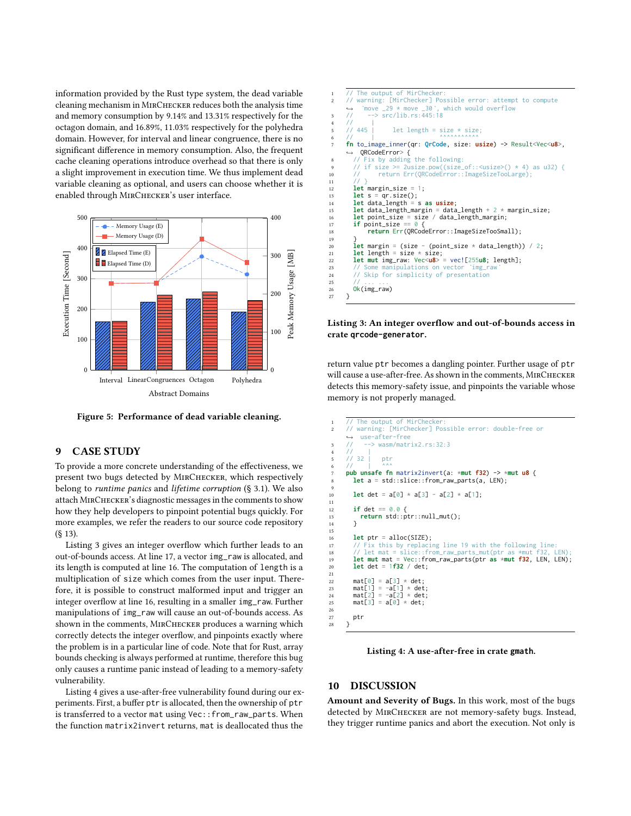information provided by the Rust type system, the dead variable cleaning mechanism in MirChecker reduces both the analysis time and memory consumption by 9.14% and 13.31% respectively for the octagon domain, and 16.89%, 11.03% respectively for the polyhedra domain. However, for interval and linear congruence, there is no significant difference in memory consumption. Also, the frequent cache cleaning operations introduce overhead so that there is only a slight improvement in execution time. We thus implement dead variable cleaning as optional, and users can choose whether it is enabled through MIRCHECKER's user interface.

<span id="page-11-0"></span>

Figure 5: Performance of dead variable cleaning.

#### 9 CASE STUDY

To provide a more concrete understanding of the effectiveness, we present two bugs detected by MirChecker, which respectively belong to runtime panics and lifetime corruption (§ [3.1\)](#page-2-0). We also attach MirChecker's diagnostic messages in the comments to show how they help developers to pinpoint potential bugs quickly. For more examples, we refer the readers to our source code repository (§ [13\)](#page-12-1).

Listing [3](#page-11-1) gives an integer overflow which further leads to an out-of-bounds access. At line 17, a vector img\_raw is allocated, and its length is computed at line 16. The computation of length is a multiplication of size which comes from the user input. Therefore, it is possible to construct malformed input and trigger an integer overflow at line 16, resulting in a smaller img\_raw. Further manipulations of img\_raw will cause an out-of-bounds access. As shown in the comments, MIRCHECKER produces a warning which correctly detects the integer overflow, and pinpoints exactly where the problem is in a particular line of code. Note that for Rust, array bounds checking is always performed at runtime, therefore this bug only causes a runtime panic instead of leading to a memory-safety vulnerability.

Listing [4](#page-11-2) gives a use-after-free vulnerability found during our experiments. First, a buffer ptr is allocated, then the ownership of ptr is transferred to a vector mat using Vec::from\_raw\_parts. When the function matrix2invert returns, mat is deallocated thus the

<span id="page-11-1"></span>

| $\mathbf{1}$   | // The output of MirChecker:                                                      |
|----------------|-----------------------------------------------------------------------------------|
| $\overline{2}$ | // warning: [MirChecker] Possible error: attempt to compute                       |
|                | $\rightarrow$ `move _29 * move _30`, which would overflow                         |
| 3              | $\rightarrow$ src/lib.rs:445:18<br>$\prime\prime$                                 |
| $\overline{4}$ | $\frac{1}{2}$                                                                     |
| 5              | 11445<br>let length = size $*$ size;                                              |
| 6              | <b>AAAAAAAAAAA</b><br>$\frac{1}{2}$                                               |
| $\overline{7}$ | fn to_image_inner(qr: QrCode, size: usize) -> Result <vec<u8>,</vec<u8>           |
|                | $\leftrightarrow$ QRCodeError> {                                                  |
| 8              | // Fix by adding the following:                                                   |
| 9              | // if size >= 2usize.pow((size_of:: <usize>() <math>*</math> 4) as u32) {</usize> |
| 10             | return Err(QRCodeError::ImageSizeTooLarge);<br>$\frac{1}{2}$                      |
| 11             | 11.3                                                                              |
| 12             | <b>let</b> margin_size = 1;                                                       |
| 13             | let $s = qr.size()$ ;                                                             |
| 14             | $let data_length = s as usize;$                                                   |
| 15             | let data_length_margin = data_length + $2 * margin_size;$                         |
| 16             | $let point_size = size / data_length_matrix;$                                     |
| 17             | if point_size == $0 \leq$                                                         |
| 18             | return Err(QRCodeError::ImageSizeTooSmall);                                       |
| 19             |                                                                                   |
| 20             | <b>let</b> margin = (size - (point_size $*$ data_length)) / 2;                    |
| 21             | let length = size $*$ size;                                                       |
| 22             | <b>let mut img_raw:</b> $Vec\langle u8 \rangle$ = $vec'[255u8; length];$          |
| 23             | // Some manipulations on vector `img_raw`                                         |
| 24             | // Skip for simplicity of presentation                                            |
| 25             | //                                                                                |
| 26             | $Ok(img_{raw})$                                                                   |
| 27             | ł                                                                                 |

#### Listing 3: An integer overflow and out-of-bounds access in crate **qrcode-generator**.

return value ptr becomes a dangling pointer. Further usage of ptr will cause a use-after-free. As shown in the comments, MirChecker detects this memory-safety issue, and pinpoints the variable whose memory is not properly managed.

```
The output of MirChecker
        // warning: [MirChecker] Possible error: double-free or
        ↩→ use-after-free
       3 // --> wasm/matrix2.rs:32:3
 4 / / |
           32 | ptr
 6 // | ^^^
7 pub unsafe fn matrix2invert(a: *mut f32) -> *mut u8 {
          8 let a = std::slice::from_raw_parts(a, LEN);
 9
10 let det = a[0] \times a[3] - a[2] \times a[1];
11
\text{if} \text{det} = 0.0 \text{ } \{13 \} if det == 0.0 {
           return std::ptr::null_mut();
14 }
15\atop1616 let ptr = alloc(SIZE);<br>
17 // Fix this by replacing line 19 with the following line:<br>
18 // let mat = slice::from_raw_parts_mut(ptr as *mut f32, LEN);<br>
19 let mut mat = Vec::from_raw_parts(ptr as *mut f32, LEN, LEN
\frac{21}{22}22 mat[0] = a[3] * det;
23 mat[1] = -a[1] * det;
24 mat[2] = -a[2] \times det;<br>
25 mat[3] = a[0] \times det;mat[3] = a[0] * det;\frac{26}{27}ptr
28 }
```
Listing 4: A use-after-free in crate **gmath**.

## 10 DISCUSSION

Amount and Severity of Bugs. In this work, most of the bugs detected by MirChecker are not memory-safety bugs. Instead, they trigger runtime panics and abort the execution. Not only is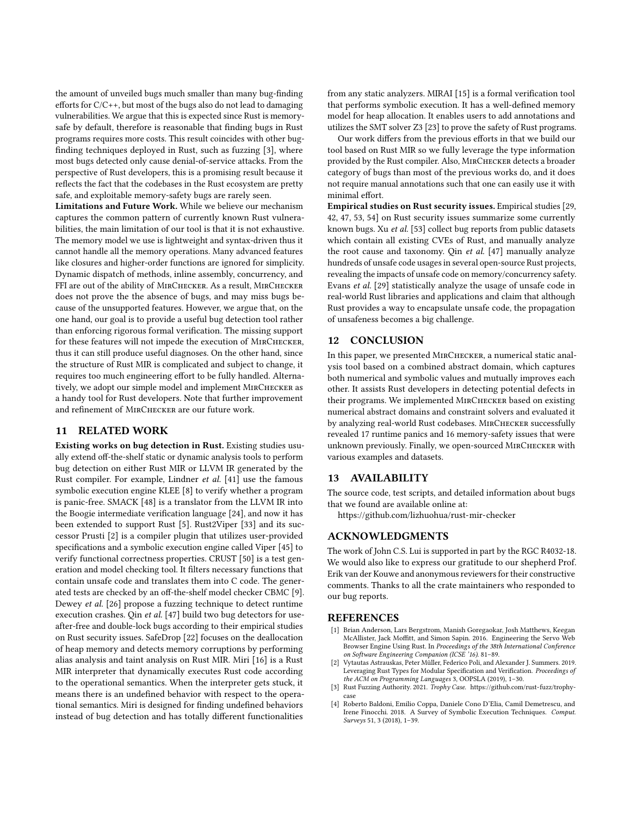the amount of unveiled bugs much smaller than many bug-finding efforts for C/C++, but most of the bugs also do not lead to damaging vulnerabilities. We argue that this is expected since Rust is memorysafe by default, therefore is reasonable that finding bugs in Rust programs requires more costs. This result coincides with other bugfinding techniques deployed in Rust, such as fuzzing [\[3\]](#page-12-3), where most bugs detected only cause denial-of-service attacks. From the perspective of Rust developers, this is a promising result because it reflects the fact that the codebases in the Rust ecosystem are pretty safe, and exploitable memory-safety bugs are rarely seen.

Limitations and Future Work. While we believe our mechanism captures the common pattern of currently known Rust vulnerabilities, the main limitation of our tool is that it is not exhaustive. The memory model we use is lightweight and syntax-driven thus it cannot handle all the memory operations. Many advanced features like closures and higher-order functions are ignored for simplicity. Dynamic dispatch of methods, inline assembly, concurrency, and FFI are out of the ability of MIRCHECKER. As a result, MIRCHECKER does not prove the the absence of bugs, and may miss bugs because of the unsupported features. However, we argue that, on the one hand, our goal is to provide a useful bug detection tool rather than enforcing rigorous formal verification. The missing support for these features will not impede the execution of MIRCHECKER, thus it can still produce useful diagnoses. On the other hand, since the structure of Rust MIR is complicated and subject to change, it requires too much engineering effort to be fully handled. Alternatively, we adopt our simple model and implement MirChecker as a handy tool for Rust developers. Note that further improvement and refinement of MirChecker are our future work.

## 11 RELATED WORK

Existing works on bug detection in Rust. Existing studies usually extend off-the-shelf static or dynamic analysis tools to perform bug detection on either Rust MIR or LLVM IR generated by the Rust compiler. For example, Lindner et al. [\[41\]](#page-13-40) use the famous symbolic execution engine KLEE [\[8\]](#page-13-32) to verify whether a program is panic-free. SMACK [\[48\]](#page-13-41) is a translator from the LLVM IR into the Boogie intermediate verification language [\[24\]](#page-13-42), and now it has been extended to support Rust [\[5\]](#page-13-43). Rust2Viper [\[33\]](#page-13-44) and its successor Prusti [\[2\]](#page-12-4) is a compiler plugin that utilizes user-provided specifications and a symbolic execution engine called Viper [\[45\]](#page-13-45) to verify functional correctness properties. CRUST [\[50\]](#page-13-46) is a test generation and model checking tool. It filters necessary functions that contain unsafe code and translates them into C code. The generated tests are checked by an off-the-shelf model checker CBMC [\[9\]](#page-13-47). Dewey et al. [\[26\]](#page-13-48) propose a fuzzing technique to detect runtime execution crashes. Qin et al. [\[47\]](#page-13-2) build two bug detectors for useafter-free and double-lock bugs according to their empirical studies on Rust security issues. SafeDrop [\[22\]](#page-13-25) focuses on the deallocation of heap memory and detects memory corruptions by performing alias analysis and taint analysis on Rust MIR. Miri [\[16\]](#page-13-49) is a Rust MIR interpreter that dynamically executes Rust code according to the operational semantics. When the interpreter gets stuck, it means there is an undefined behavior with respect to the operational semantics. Miri is designed for finding undefined behaviors instead of bug detection and has totally different functionalities

from any static analyzers. MIRAI [\[15\]](#page-13-38) is a formal verification tool that performs symbolic execution. It has a well-defined memory model for heap allocation. It enables users to add annotations and utilizes the SMT solver Z3 [\[23\]](#page-13-39) to prove the safety of Rust programs.

Our work differs from the previous efforts in that we build our tool based on Rust MIR so we fully leverage the type information provided by the Rust compiler. Also, MirChecker detects a broader category of bugs than most of the previous works do, and it does not require manual annotations such that one can easily use it with minimal effort.

Empirical studies on Rust security issues. Empirical studies [\[29,](#page-13-0) [42,](#page-13-1) [47,](#page-13-2) [53,](#page-13-3) [54\]](#page-13-4) on Rust security issues summarize some currently known bugs. Xu et al. [\[53\]](#page-13-3) collect bug reports from public datasets which contain all existing CVEs of Rust, and manually analyze the root cause and taxonomy. Qin et al. [\[47\]](#page-13-2) manually analyze hundreds of unsafe code usages in several open-source Rust projects, revealing the impacts of unsafe code on memory/concurrency safety. Evans et al. [\[29\]](#page-13-0) statistically analyze the usage of unsafe code in real-world Rust libraries and applications and claim that although Rust provides a way to encapsulate unsafe code, the propagation of unsafeness becomes a big challenge.

## 12 CONCLUSION

In this paper, we presented MirChecker, a numerical static analysis tool based on a combined abstract domain, which captures both numerical and symbolic values and mutually improves each other. It assists Rust developers in detecting potential defects in their programs. We implemented MIRCHECKER based on existing numerical abstract domains and constraint solvers and evaluated it by analyzing real-world Rust codebases. MIRCHECKER successfully revealed 17 runtime panics and 16 memory-safety issues that were unknown previously. Finally, we open-sourced MirChecker with various examples and datasets.

#### <span id="page-12-1"></span>13 AVAILABILITY

The source code, test scripts, and detailed information about bugs that we found are available online at:

<https://github.com/lizhuohua/rust-mir-checker>

## ACKNOWLEDGMENTS

The work of John C.S. Lui is supported in part by the RGC R4032-18. We would also like to express our gratitude to our shepherd Prof. Erik van der Kouwe and anonymous reviewers for their constructive comments. Thanks to all the crate maintainers who responded to our bug reports.

## **REFERENCES**

- <span id="page-12-0"></span>[1] Brian Anderson, Lars Bergstrom, Manish Goregaokar, Josh Matthews, Keegan McAllister, Jack Moffitt, and Simon Sapin. 2016. Engineering the Servo Web Browser Engine Using Rust. In Proceedings of the 38th International Conference on Software Engineering Companion (ICSE '16). 81–89.
- <span id="page-12-4"></span>[2] Vytautas Astrauskas, Peter Müller, Federico Poli, and Alexander J. Summers. 2019. Leveraging Rust Types for Modular Specification and Verification. Proceedings of the ACM on Programming Languages 3, OOPSLA (2019), 1–30.
- <span id="page-12-3"></span>[3] Rust Fuzzing Authority. 2021. Trophy Case. [https://github.com/rust-fuzz/trophy](https://github.com/rust-fuzz/trophy-case)[case](https://github.com/rust-fuzz/trophy-case)
- <span id="page-12-2"></span>[4] Roberto Baldoni, Emilio Coppa, Daniele Cono D'Elia, Camil Demetrescu, and Irene Finocchi. 2018. A Survey of Symbolic Execution Techniques. Comput. Surveys 51, 3 (2018), 1–39.